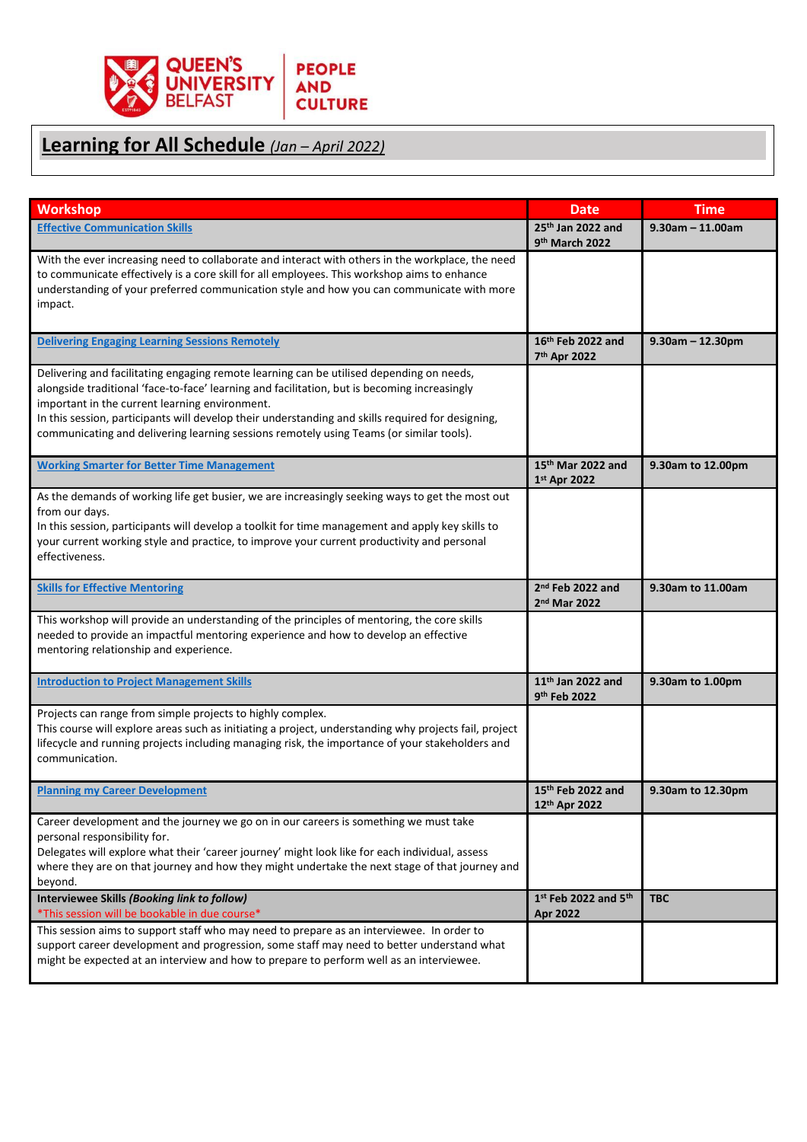

## **Learning for All Schedule** *(Jan – April 2022)*

| <b>Workshop</b>                                                                                                                                                                                                                                                                                                                                                                                                                            | <b>Date</b>                                               | <b>Time</b>         |
|--------------------------------------------------------------------------------------------------------------------------------------------------------------------------------------------------------------------------------------------------------------------------------------------------------------------------------------------------------------------------------------------------------------------------------------------|-----------------------------------------------------------|---------------------|
| <b>Effective Communication Skills</b>                                                                                                                                                                                                                                                                                                                                                                                                      | 25th Jan 2022 and<br>9th March 2022                       | $9.30$ am - 11.00am |
| With the ever increasing need to collaborate and interact with others in the workplace, the need<br>to communicate effectively is a core skill for all employees. This workshop aims to enhance<br>understanding of your preferred communication style and how you can communicate with more<br>impact.                                                                                                                                    |                                                           |                     |
| <b>Delivering Engaging Learning Sessions Remotely</b>                                                                                                                                                                                                                                                                                                                                                                                      | 16 <sup>th</sup> Feb 2022 and<br>7 <sup>th</sup> Apr 2022 | $9.30$ am - 12.30pm |
| Delivering and facilitating engaging remote learning can be utilised depending on needs,<br>alongside traditional 'face-to-face' learning and facilitation, but is becoming increasingly<br>important in the current learning environment.<br>In this session, participants will develop their understanding and skills required for designing,<br>communicating and delivering learning sessions remotely using Teams (or similar tools). |                                                           |                     |
| <b>Working Smarter for Better Time Management</b>                                                                                                                                                                                                                                                                                                                                                                                          | 15th Mar 2022 and<br>1st Apr 2022                         | 9.30am to 12.00pm   |
| As the demands of working life get busier, we are increasingly seeking ways to get the most out<br>from our days.<br>In this session, participants will develop a toolkit for time management and apply key skills to<br>your current working style and practice, to improve your current productivity and personal<br>effectiveness.                                                                                                      |                                                           |                     |
| <b>Skills for Effective Mentoring</b>                                                                                                                                                                                                                                                                                                                                                                                                      | 2 <sup>nd</sup> Feb 2022 and<br>2nd Mar 2022              | 9.30am to 11.00am   |
| This workshop will provide an understanding of the principles of mentoring, the core skills<br>needed to provide an impactful mentoring experience and how to develop an effective<br>mentoring relationship and experience.                                                                                                                                                                                                               |                                                           |                     |
| <b>Introduction to Project Management Skills</b>                                                                                                                                                                                                                                                                                                                                                                                           | 11 <sup>th</sup> Jan 2022 and<br>9th Feb 2022             | 9.30am to 1.00pm    |
| Projects can range from simple projects to highly complex.<br>This course will explore areas such as initiating a project, understanding why projects fail, project<br>lifecycle and running projects including managing risk, the importance of your stakeholders and<br>communication.                                                                                                                                                   |                                                           |                     |
| <b>Planning my Career Development</b>                                                                                                                                                                                                                                                                                                                                                                                                      | 15 <sup>th</sup> Feb 2022 and<br>12th Apr 2022            | 9.30am to 12.30pm   |
| Career development and the journey we go on in our careers is something we must take<br>personal responsibility for.<br>Delegates will explore what their 'career journey' might look like for each individual, assess<br>where they are on that journey and how they might undertake the next stage of that journey and<br>beyond.                                                                                                        |                                                           |                     |
| Interviewee Skills (Booking link to follow)<br>*This session will be bookable in due course*                                                                                                                                                                                                                                                                                                                                               | $1st$ Feb 2022 and $5th$<br><b>Apr 2022</b>               | <b>TBC</b>          |
| This session aims to support staff who may need to prepare as an interviewee. In order to<br>support career development and progression, some staff may need to better understand what<br>might be expected at an interview and how to prepare to perform well as an interviewee.                                                                                                                                                          |                                                           |                     |